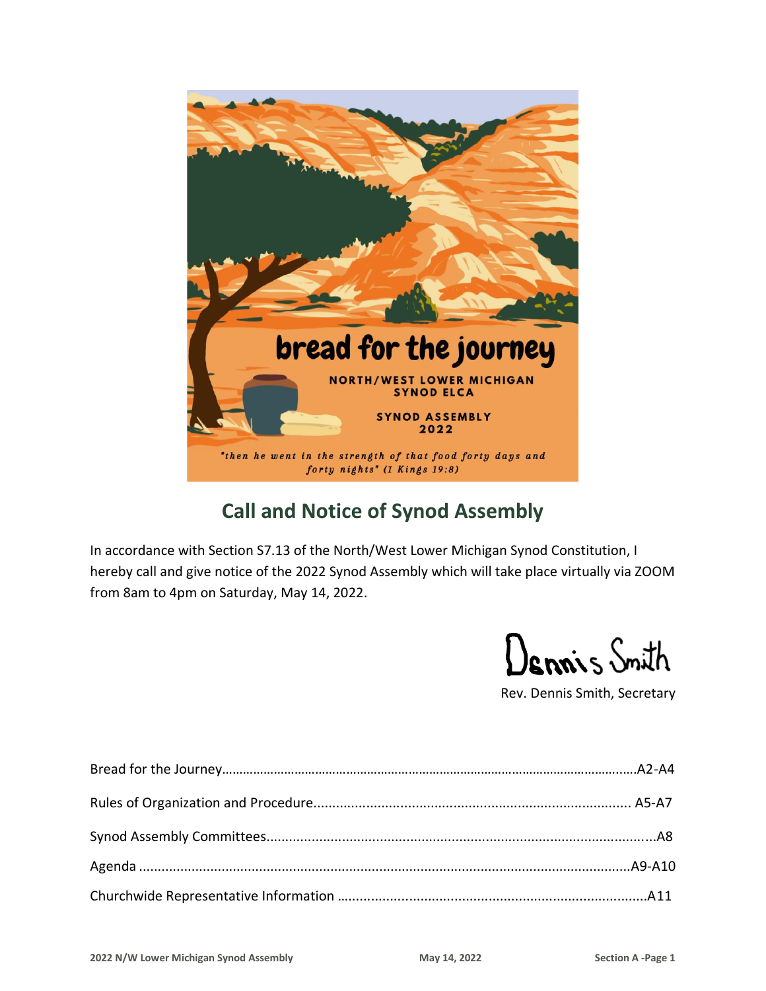

## **Call and Notice of Synod Assembly**

In accordance with Section S7.13 of the North/West Lower Michigan Synod Constitution, I hereby call and give notice of the 2022 Synod Assembly which will take place virtually via ZOOM from 8am to 4pm on Saturday, May 14, 2022.

Dennis Snith

Rev. Dennis Smith, Secretary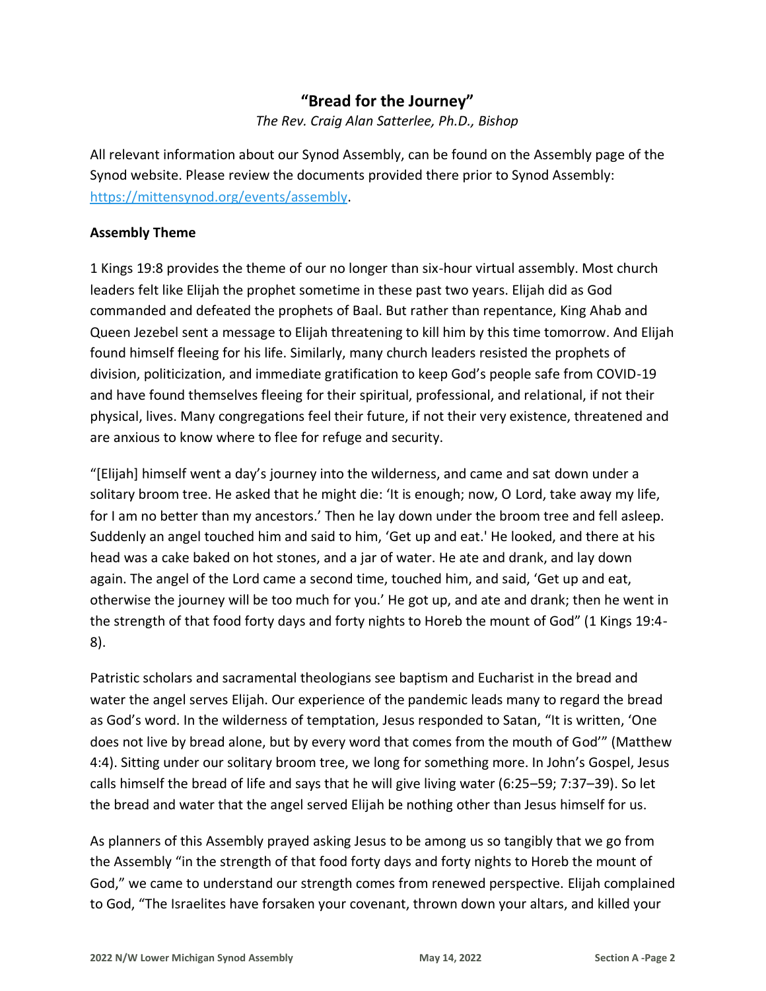## **"Bread for the Journey"**

*The Rev. Craig Alan Satterlee, Ph.D., Bishop*

All relevant information about our Synod Assembly, can be found on the Assembly page of the Synod website. Please review the documents provided there prior to Synod Assembly: [https://mittensynod.org/events/assembly.](https://mittensynod.org/events/assembly)

#### **Assembly Theme**

1 Kings 19:8 provides the theme of our no longer than six-hour virtual assembly. Most church leaders felt like Elijah the prophet sometime in these past two years. Elijah did as God commanded and defeated the prophets of Baal. But rather than repentance, King Ahab and Queen Jezebel sent a message to Elijah threatening to kill him by this time tomorrow. And Elijah found himself fleeing for his life. Similarly, many church leaders resisted the prophets of division, politicization, and immediate gratification to keep God's people safe from COVID-19 and have found themselves fleeing for their spiritual, professional, and relational, if not their physical, lives. Many congregations feel their future, if not their very existence, threatened and are anxious to know where to flee for refuge and security.

"[Elijah] himself went a day's journey into the wilderness, and came and sat down under a solitary broom tree. He asked that he might die: 'It is enough; now, O Lord, take away my life, for I am no better than my ancestors.' Then he lay down under the broom tree and fell asleep. Suddenly an angel touched him and said to him, 'Get up and eat.' He looked, and there at his head was a cake baked on hot stones, and a jar of water. He ate and drank, and lay down again. The angel of the Lord came a second time, touched him, and said, 'Get up and eat, otherwise the journey will be too much for you.' He got up, and ate and drank; then he went in the strength of that food forty days and forty nights to Horeb the mount of God" (1 Kings 19:4- 8).

Patristic scholars and sacramental theologians see baptism and Eucharist in the bread and water the angel serves Elijah. Our experience of the pandemic leads many to regard the bread as God's word. In the wilderness of temptation, Jesus responded to Satan, "It is written, 'One does not live by bread alone, but by every word that comes from the mouth of God'" (Matthew 4:4). Sitting under our solitary broom tree, we long for something more. In John's Gospel, Jesus calls himself the bread of life and says that he will give living water (6:25–59; 7:37–39). So let the bread and water that the angel served Elijah be nothing other than Jesus himself for us.

As planners of this Assembly prayed asking Jesus to be among us so tangibly that we go from the Assembly "in the strength of that food forty days and forty nights to Horeb the mount of God," we came to understand our strength comes from renewed perspective. Elijah complained to God, "The Israelites have forsaken your covenant, thrown down your altars, and killed your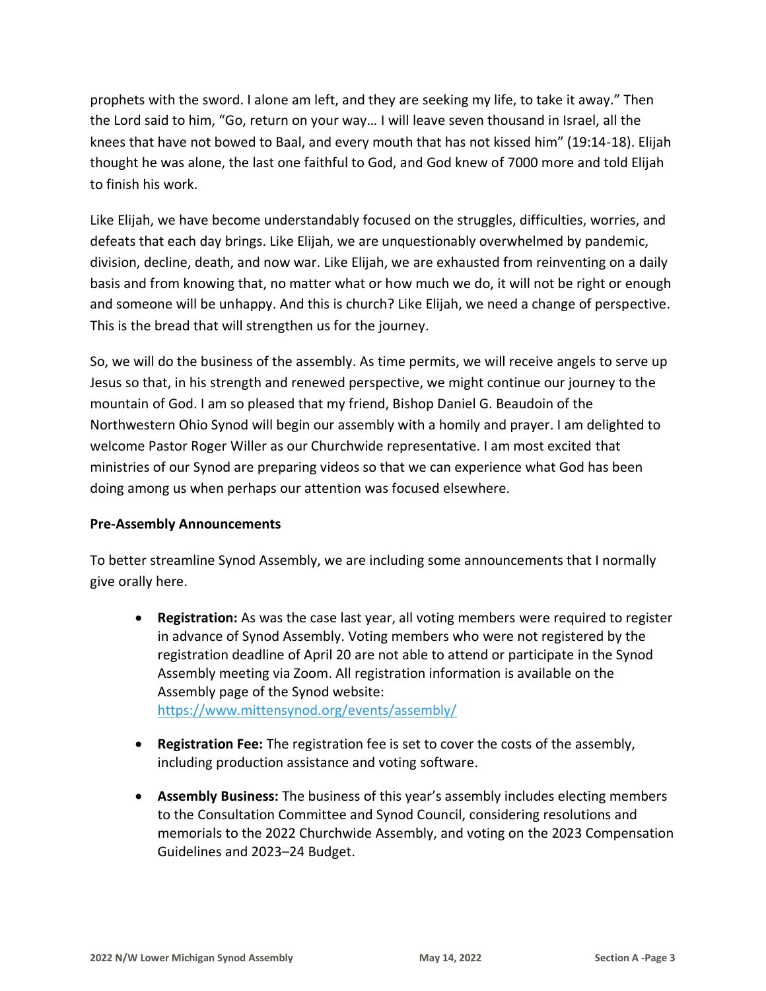prophets with the sword. I alone am left, and they are seeking my life, to take it away." Then the Lord said to him, "Go, return on your way… I will leave seven thousand in Israel, all the knees that have not bowed to Baal, and every mouth that has not kissed him" (19:14-18). Elijah thought he was alone, the last one faithful to God, and God knew of 7000 more and told Elijah to finish his work.

Like Elijah, we have become understandably focused on the struggles, difficulties, worries, and defeats that each day brings. Like Elijah, we are unquestionably overwhelmed by pandemic, division, decline, death, and now war. Like Elijah, we are exhausted from reinventing on a daily basis and from knowing that, no matter what or how much we do, it will not be right or enough and someone will be unhappy. And this is church? Like Elijah, we need a change of perspective. This is the bread that will strengthen us for the journey.

So, we will do the business of the assembly. As time permits, we will receive angels to serve up Jesus so that, in his strength and renewed perspective, we might continue our journey to the mountain of God. I am so pleased that my friend, Bishop Daniel G. Beaudoin of the Northwestern Ohio Synod will begin our assembly with a homily and prayer. I am delighted to welcome Pastor Roger Willer as our Churchwide representative. I am most excited that ministries of our Synod are preparing videos so that we can experience what God has been doing among us when perhaps our attention was focused elsewhere.

#### **Pre-Assembly Announcements**

To better streamline Synod Assembly, we are including some announcements that I normally give orally here.

- **Registration:** As was the case last year, all voting members were required to register in advance of Synod Assembly. Voting members who were not registered by the registration deadline of April 20 are not able to attend or participate in the Synod Assembly meeting via Zoom. All registration information is available on the Assembly page of the Synod website: <https://www.mittensynod.org/events/assembly/>
- **Registration Fee:** The registration fee is set to cover the costs of the assembly, including production assistance and voting software.
- **Assembly Business:** The business of this year's assembly includes electing members to the Consultation Committee and Synod Council, considering resolutions and memorials to the 2022 Churchwide Assembly, and voting on the 2023 Compensation Guidelines and 2023–24 Budget.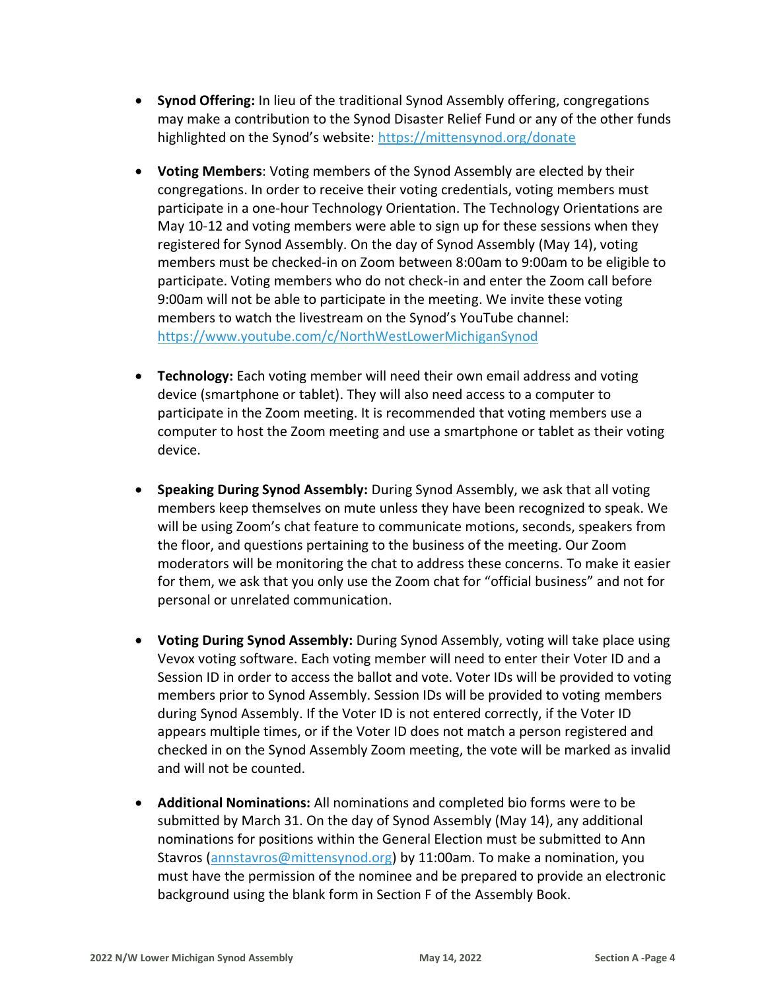- **Synod Offering:** In lieu of the traditional Synod Assembly offering, congregations may make a contribution to the Synod Disaster Relief Fund or any of the other funds highlighted on the Synod's website: <https://mittensynod.org/donate>
- **Voting Members**: Voting members of the Synod Assembly are elected by their congregations. In order to receive their voting credentials, voting members must participate in a one-hour Technology Orientation. The Technology Orientations are May 10-12 and voting members were able to sign up for these sessions when they registered for Synod Assembly. On the day of Synod Assembly (May 14), voting members must be checked-in on Zoom between 8:00am to 9:00am to be eligible to participate. Voting members who do not check-in and enter the Zoom call before 9:00am will not be able to participate in the meeting. We invite these voting members to watch the livestream on the Synod's YouTube channel: <https://www.youtube.com/c/NorthWestLowerMichiganSynod>
- **Technology:** Each voting member will need their own email address and voting device (smartphone or tablet). They will also need access to a computer to participate in the Zoom meeting. It is recommended that voting members use a computer to host the Zoom meeting and use a smartphone or tablet as their voting device.
- **Speaking During Synod Assembly:** During Synod Assembly, we ask that all voting members keep themselves on mute unless they have been recognized to speak. We will be using Zoom's chat feature to communicate motions, seconds, speakers from the floor, and questions pertaining to the business of the meeting. Our Zoom moderators will be monitoring the chat to address these concerns. To make it easier for them, we ask that you only use the Zoom chat for "official business" and not for personal or unrelated communication.
- **Voting During Synod Assembly:** During Synod Assembly, voting will take place using Vevox voting software. Each voting member will need to enter their Voter ID and a Session ID in order to access the ballot and vote. Voter IDs will be provided to voting members prior to Synod Assembly. Session IDs will be provided to voting members during Synod Assembly. If the Voter ID is not entered correctly, if the Voter ID appears multiple times, or if the Voter ID does not match a person registered and checked in on the Synod Assembly Zoom meeting, the vote will be marked as invalid and will not be counted.
- **Additional Nominations:** All nominations and completed bio forms were to be submitted by March 31. On the day of Synod Assembly (May 14), any additional nominations for positions within the General Election must be submitted to Ann Stavros [\(annstavros@mittensynod.org\)](mailto:annstavros@mittensynod.org) by 11:00am. To make a nomination, you must have the permission of the nominee and be prepared to provide an electronic background using the blank form in Section F of the Assembly Book.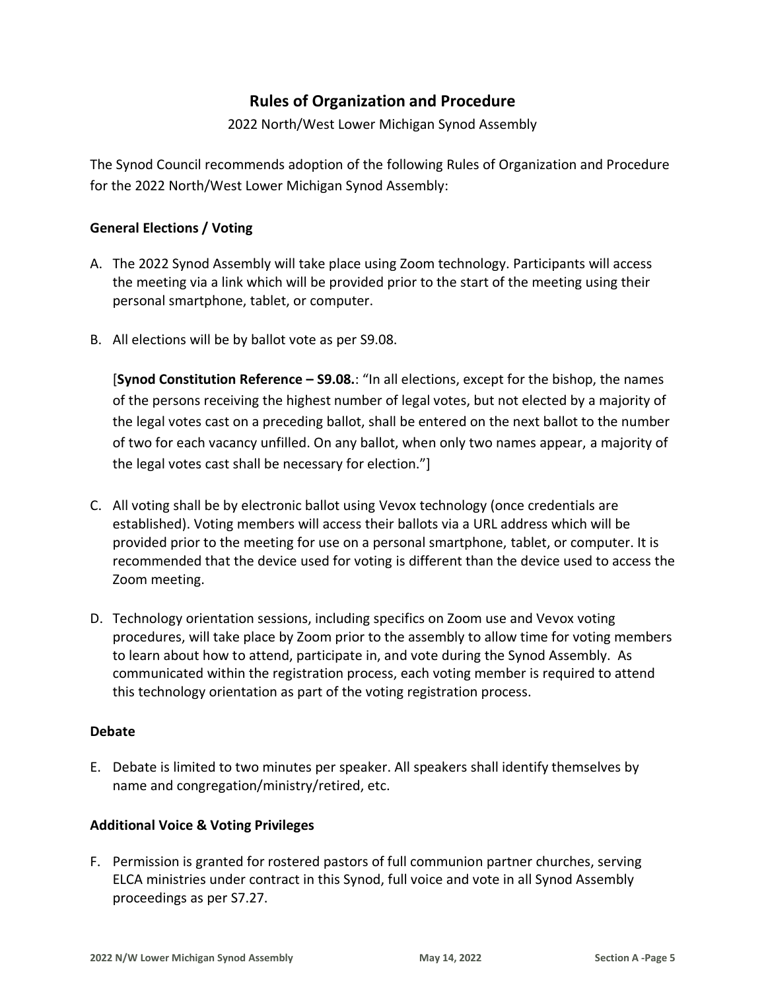## **Rules of Organization and Procedure**

2022 North/West Lower Michigan Synod Assembly

The Synod Council recommends adoption of the following Rules of Organization and Procedure for the 2022 North/West Lower Michigan Synod Assembly:

#### **General Elections / Voting**

- A. The 2022 Synod Assembly will take place using Zoom technology. Participants will access the meeting via a link which will be provided prior to the start of the meeting using their personal smartphone, tablet, or computer.
- B. All elections will be by ballot vote as per S9.08.

[**Synod Constitution Reference – S9.08.**: "In all elections, except for the bishop, the names of the persons receiving the highest number of legal votes, but not elected by a majority of the legal votes cast on a preceding ballot, shall be entered on the next ballot to the number of two for each vacancy unfilled. On any ballot, when only two names appear, a majority of the legal votes cast shall be necessary for election."]

- C. All voting shall be by electronic ballot using Vevox technology (once credentials are established). Voting members will access their ballots via a URL address which will be provided prior to the meeting for use on a personal smartphone, tablet, or computer. It is recommended that the device used for voting is different than the device used to access the Zoom meeting.
- D. Technology orientation sessions, including specifics on Zoom use and Vevox voting procedures, will take place by Zoom prior to the assembly to allow time for voting members to learn about how to attend, participate in, and vote during the Synod Assembly. As communicated within the registration process, each voting member is required to attend this technology orientation as part of the voting registration process.

#### **Debate**

E. Debate is limited to two minutes per speaker. All speakers shall identify themselves by name and congregation/ministry/retired, etc.

#### **Additional Voice & Voting Privileges**

F. Permission is granted for rostered pastors of full communion partner churches, serving ELCA ministries under contract in this Synod, full voice and vote in all Synod Assembly proceedings as per S7.27.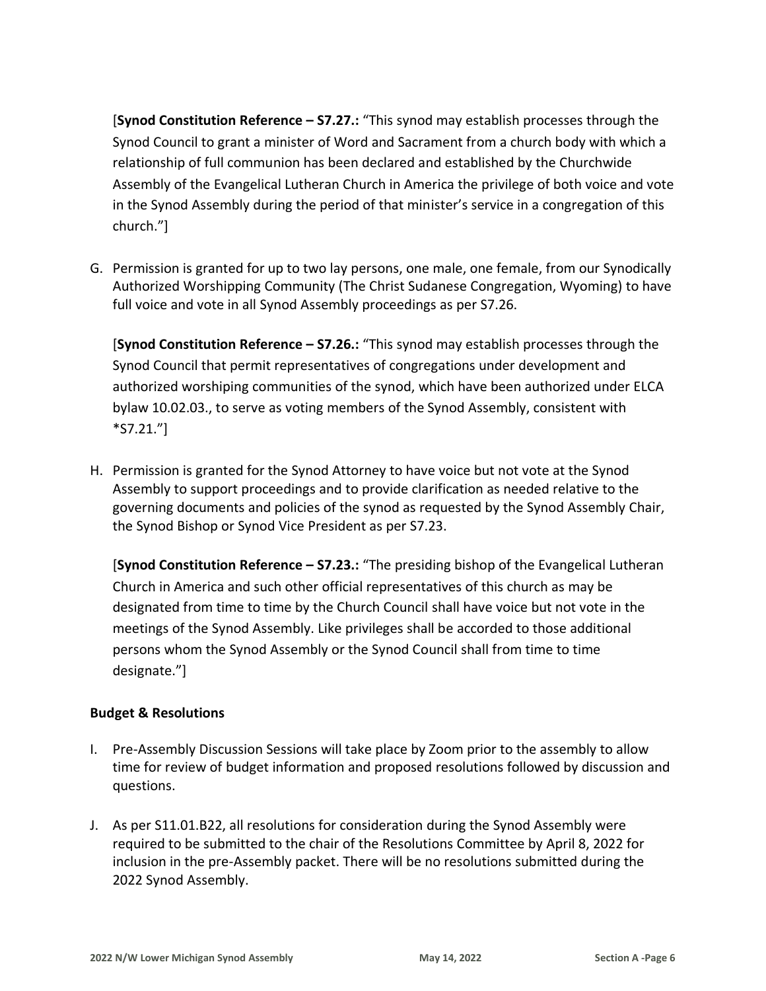[**Synod Constitution Reference – S7.27.:** "This synod may establish processes through the Synod Council to grant a minister of Word and Sacrament from a church body with which a relationship of full communion has been declared and established by the Churchwide Assembly of the Evangelical Lutheran Church in America the privilege of both voice and vote in the Synod Assembly during the period of that minister's service in a congregation of this church."]

G. Permission is granted for up to two lay persons, one male, one female, from our Synodically Authorized Worshipping Community (The Christ Sudanese Congregation, Wyoming) to have full voice and vote in all Synod Assembly proceedings as per S7.26.

[**Synod Constitution Reference – S7.26.:** "This synod may establish processes through the Synod Council that permit representatives of congregations under development and authorized worshiping communities of the synod, which have been authorized under ELCA bylaw 10.02.03., to serve as voting members of the Synod Assembly, consistent with \*S7.21."]

H. Permission is granted for the Synod Attorney to have voice but not vote at the Synod Assembly to support proceedings and to provide clarification as needed relative to the governing documents and policies of the synod as requested by the Synod Assembly Chair, the Synod Bishop or Synod Vice President as per S7.23.

[**Synod Constitution Reference – S7.23.:** "The presiding bishop of the Evangelical Lutheran Church in America and such other official representatives of this church as may be designated from time to time by the Church Council shall have voice but not vote in the meetings of the Synod Assembly. Like privileges shall be accorded to those additional persons whom the Synod Assembly or the Synod Council shall from time to time designate."]

#### **Budget & Resolutions**

- I. Pre-Assembly Discussion Sessions will take place by Zoom prior to the assembly to allow time for review of budget information and proposed resolutions followed by discussion and questions.
- J. As per S11.01.B22, all resolutions for consideration during the Synod Assembly were required to be submitted to the chair of the Resolutions Committee by April 8, 2022 for inclusion in the pre-Assembly packet. There will be no resolutions submitted during the 2022 Synod Assembly.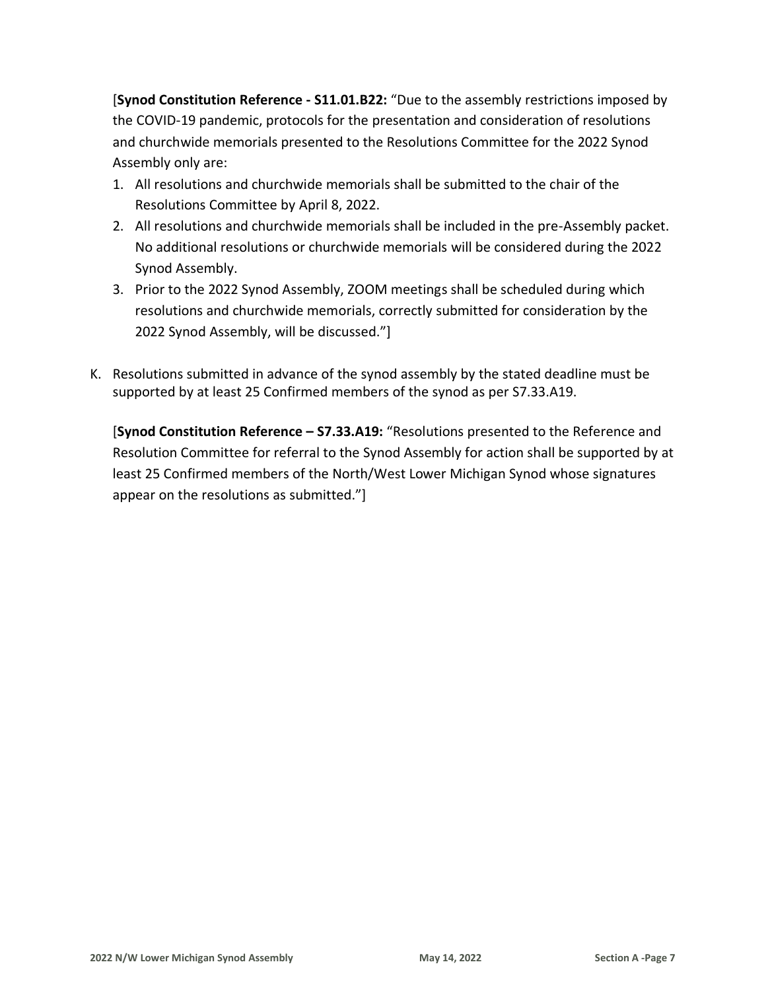[**Synod Constitution Reference - S11.01.B22:** "Due to the assembly restrictions imposed by the COVID-19 pandemic, protocols for the presentation and consideration of resolutions and churchwide memorials presented to the Resolutions Committee for the 2022 Synod Assembly only are:

- 1. All resolutions and churchwide memorials shall be submitted to the chair of the Resolutions Committee by April 8, 2022.
- 2. All resolutions and churchwide memorials shall be included in the pre-Assembly packet. No additional resolutions or churchwide memorials will be considered during the 2022 Synod Assembly.
- 3. Prior to the 2022 Synod Assembly, ZOOM meetings shall be scheduled during which resolutions and churchwide memorials, correctly submitted for consideration by the 2022 Synod Assembly, will be discussed."]
- K. Resolutions submitted in advance of the synod assembly by the stated deadline must be supported by at least 25 Confirmed members of the synod as per S7.33.A19.

[**Synod Constitution Reference – S7.33.A19:** "Resolutions presented to the Reference and Resolution Committee for referral to the Synod Assembly for action shall be supported by at least 25 Confirmed members of the North/West Lower Michigan Synod whose signatures appear on the resolutions as submitted."]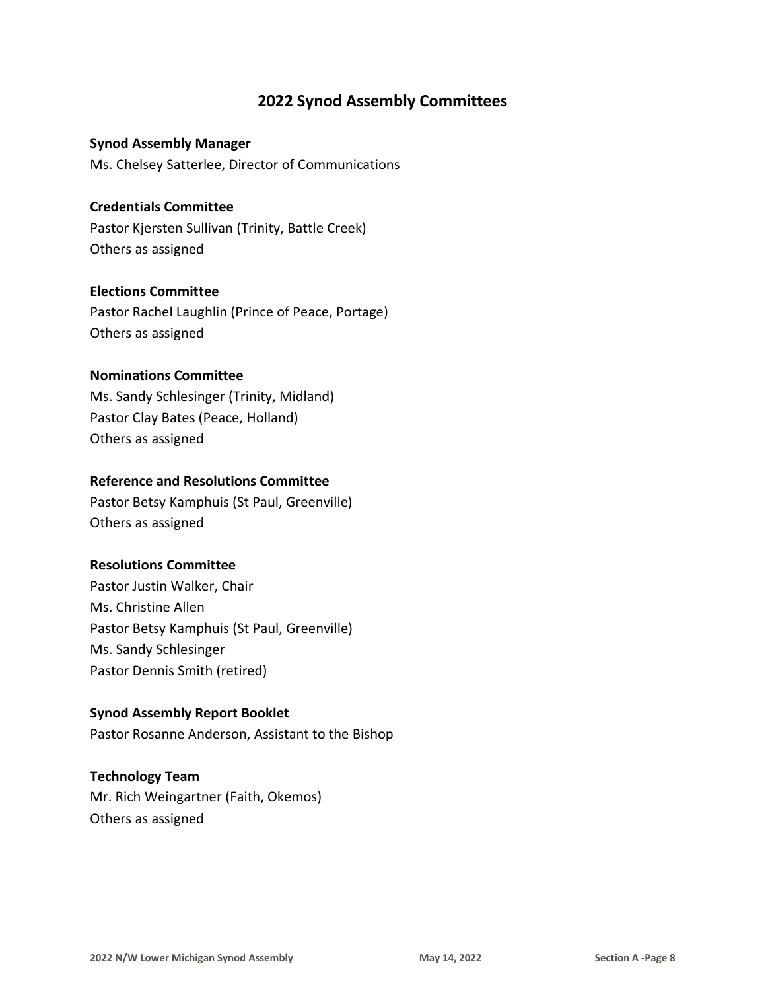## **2022 Synod Assembly Committees**

#### **Synod Assembly Manager**

Ms. Chelsey Satterlee, Director of Communications

#### **Credentials Committee**

Pastor Kjersten Sullivan (Trinity, Battle Creek) Others as assigned

#### **Elections Committee**

Pastor Rachel Laughlin (Prince of Peace, Portage) Others as assigned

#### **Nominations Committee**

Ms. Sandy Schlesinger (Trinity, Midland) Pastor Clay Bates (Peace, Holland) Others as assigned

#### **Reference and Resolutions Committee**

Pastor Betsy Kamphuis (St Paul, Greenville) Others as assigned

#### **Resolutions Committee**

Pastor Justin Walker, Chair Ms. Christine Allen Pastor Betsy Kamphuis (St Paul, Greenville) Ms. Sandy Schlesinger Pastor Dennis Smith (retired)

#### **Synod Assembly Report Booklet**

Pastor Rosanne Anderson, Assistant to the Bishop

#### **Technology Team**

Mr. Rich Weingartner (Faith, Okemos) Others as assigned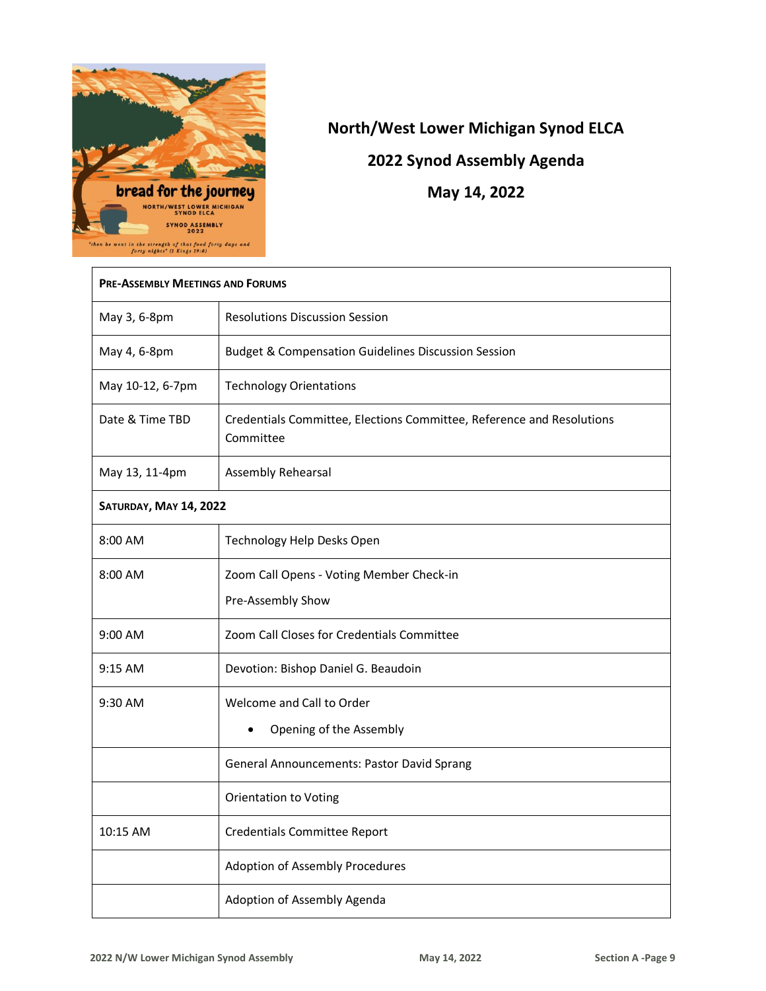

# **North/West Lower Michigan Synod ELCA**

**2022 Synod Assembly Agenda**

**May 14, 2022** 

| <b>PRE-ASSEMBLY MEETINGS AND FORUMS</b> |                                                                                    |  |
|-----------------------------------------|------------------------------------------------------------------------------------|--|
| May 3, 6-8pm                            | <b>Resolutions Discussion Session</b>                                              |  |
| May 4, 6-8pm                            | <b>Budget &amp; Compensation Guidelines Discussion Session</b>                     |  |
| May 10-12, 6-7pm                        | <b>Technology Orientations</b>                                                     |  |
| Date & Time TBD                         | Credentials Committee, Elections Committee, Reference and Resolutions<br>Committee |  |
| May 13, 11-4pm                          | Assembly Rehearsal                                                                 |  |
| SATURDAY, MAY 14, 2022                  |                                                                                    |  |
| 8:00 AM                                 | Technology Help Desks Open                                                         |  |
| 8:00 AM                                 | Zoom Call Opens - Voting Member Check-in                                           |  |
|                                         | Pre-Assembly Show                                                                  |  |
| 9:00 AM                                 | Zoom Call Closes for Credentials Committee                                         |  |
| $9:15$ AM                               | Devotion: Bishop Daniel G. Beaudoin                                                |  |
| 9:30 AM                                 | Welcome and Call to Order                                                          |  |
|                                         | Opening of the Assembly                                                            |  |
|                                         | General Announcements: Pastor David Sprang                                         |  |
|                                         | <b>Orientation to Voting</b>                                                       |  |
| 10:15 AM                                | Credentials Committee Report                                                       |  |
|                                         | Adoption of Assembly Procedures                                                    |  |
|                                         | Adoption of Assembly Agenda                                                        |  |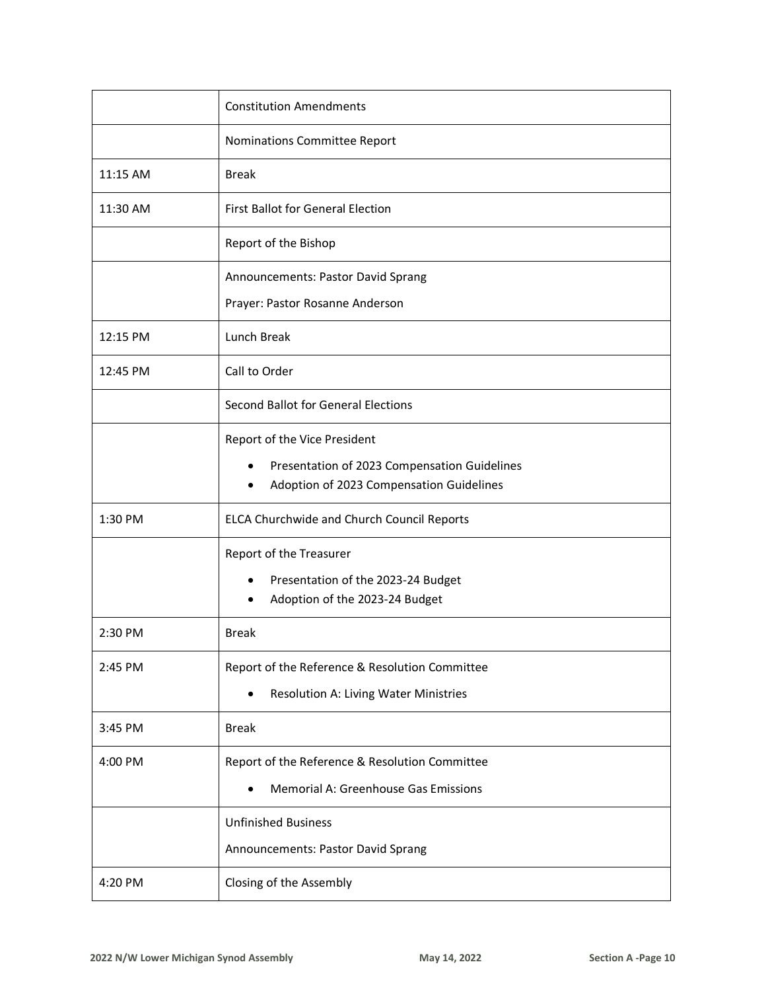|          | <b>Constitution Amendments</b>                                                                                           |
|----------|--------------------------------------------------------------------------------------------------------------------------|
|          | Nominations Committee Report                                                                                             |
| 11:15 AM | <b>Break</b>                                                                                                             |
| 11:30 AM | <b>First Ballot for General Election</b>                                                                                 |
|          | Report of the Bishop                                                                                                     |
|          | Announcements: Pastor David Sprang                                                                                       |
|          | Prayer: Pastor Rosanne Anderson                                                                                          |
| 12:15 PM | Lunch Break                                                                                                              |
| 12:45 PM | Call to Order                                                                                                            |
|          | Second Ballot for General Elections                                                                                      |
|          | Report of the Vice President<br>Presentation of 2023 Compensation Guidelines<br>Adoption of 2023 Compensation Guidelines |
| 1:30 PM  | ELCA Churchwide and Church Council Reports                                                                               |
|          | Report of the Treasurer<br>Presentation of the 2023-24 Budget<br>Adoption of the 2023-24 Budget                          |
| 2:30 PM  | <b>Break</b>                                                                                                             |
| 2:45 PM  | Report of the Reference & Resolution Committee<br>Resolution A: Living Water Ministries                                  |
| 3:45 PM  | <b>Break</b>                                                                                                             |
| 4:00 PM  | Report of the Reference & Resolution Committee<br>Memorial A: Greenhouse Gas Emissions                                   |
|          | <b>Unfinished Business</b><br>Announcements: Pastor David Sprang                                                         |
| 4:20 PM  | Closing of the Assembly                                                                                                  |